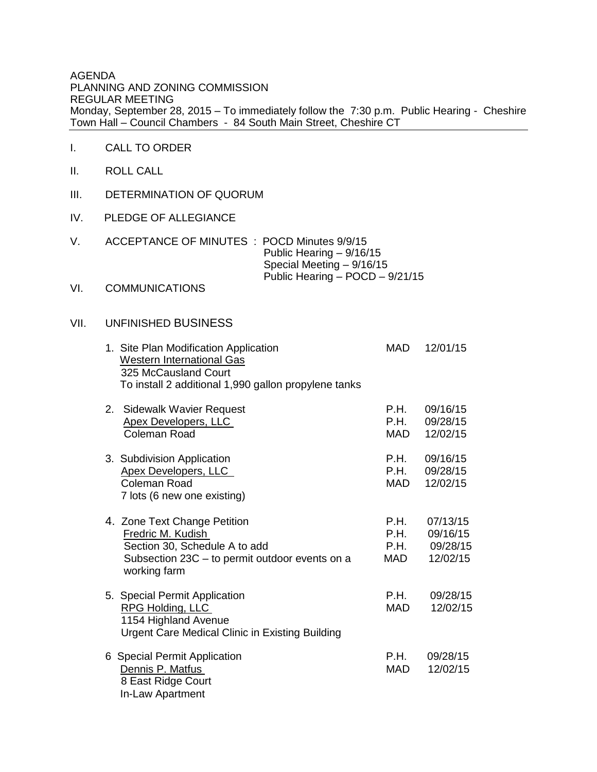AGENDA PLANNING AND ZONING COMMISSION REGULAR MEETING Monday, September 28, 2015 – To immediately follow the 7:30 p.m. Public Hearing - Cheshire Town Hall – Council Chambers - 84 South Main Street, Cheshire CT

- I. CALL TO ORDER
- II. ROLL CALL
- III. DETERMINATION OF QUORUM
- IV. PLEDGE OF ALLEGIANCE
- V. ACCEPTANCE OF MINUTES : POCD Minutes 9/9/15 Public Hearing – 9/16/15 Special Meeting – 9/16/15 Public Hearing – POCD – 9/21/15

## VI. COMMUNICATIONS

## VII. UNFINISHED BUSINESS

| 1. Site Plan Modification Application<br><b>Western International Gas</b><br>325 McCausland Court<br>To install 2 additional 1,990 gallon propylene tanks | <b>MAD</b>                         | 12/01/15                                     |
|-----------------------------------------------------------------------------------------------------------------------------------------------------------|------------------------------------|----------------------------------------------|
| 2. Sidewalk Wavier Request<br><b>Apex Developers, LLC</b><br><b>Coleman Road</b>                                                                          | P.H.<br>P.H.<br>MAD                | 09/16/15<br>09/28/15<br>12/02/15             |
| 3. Subdivision Application<br>Apex Developers, LLC<br>Coleman Road<br>7 lots (6 new one existing)                                                         | P.H.<br>P.H.<br>MAD                | 09/16/15<br>09/28/15<br>12/02/15             |
| 4. Zone Text Change Petition<br>Fredric M. Kudish<br>Section 30, Schedule A to add<br>Subsection 23C - to permit outdoor events on a<br>working farm      | <b>P.H.</b><br>P.H.<br>P.H.<br>MAD | 07/13/15<br>09/16/15<br>09/28/15<br>12/02/15 |
| 5. Special Permit Application<br><b>RPG Holding, LLC</b><br>1154 Highland Avenue<br><b>Urgent Care Medical Clinic in Existing Building</b>                | P.H.<br>MAD.                       | 09/28/15<br>12/02/15                         |
| 6 Special Permit Application<br>Dennis P. Matfus<br>8 East Ridge Court<br>In-Law Apartment                                                                | P.H.<br><b>MAD</b>                 | 09/28/15<br>12/02/15                         |